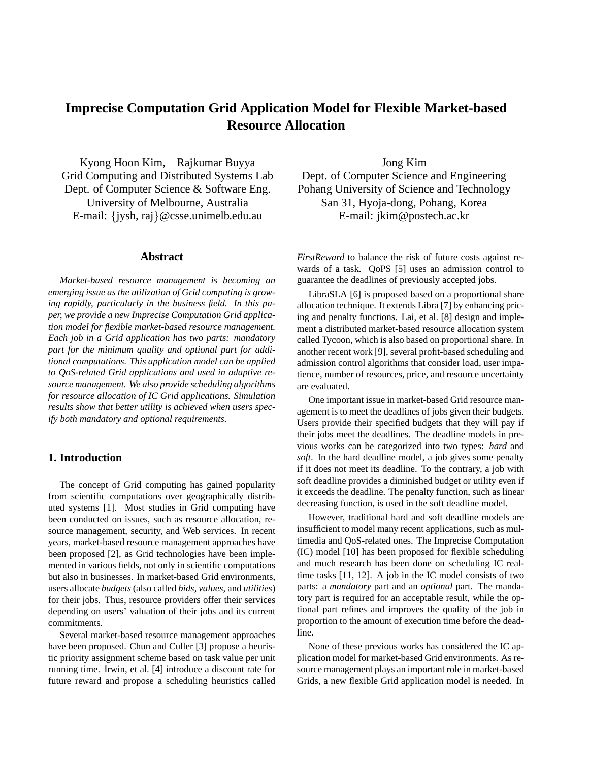# **Imprecise Computation Grid Application Model for Flexible Market-based Resource Allocation**

Kyong Hoon Kim, Rajkumar Buyya Grid Computing and Distributed Systems Lab Dept. of Computer Science & Software Eng. University of Melbourne, Australia E-mail: {jysh, raj}@csse.unimelb.edu.au

#### **Abstract**

*Market-based resource management is becoming an emerging issue as the utilization of Grid computing is growing rapidly, particularly in the business field. In this paper, we provide a new Imprecise Computation Grid application model for flexible market-based resource management. Each job in a Grid application has two parts: mandatory part for the minimum quality and optional part for additional computations. This application model can be applied to QoS-related Grid applications and used in adaptive resource management. We also provide scheduling algorithms for resource allocation of IC Grid applications. Simulation results show that better utility is achieved when users specify both mandatory and optional requirements.*

# **1. Introduction**

The concept of Grid computing has gained popularity from scientific computations over geographically distributed systems [1]. Most studies in Grid computing have been conducted on issues, such as resource allocation, resource management, security, and Web services. In recent years, market-based resource management approaches have been proposed [2], as Grid technologies have been implemented in various fields, not only in scientific computations but also in businesses. In market-based Grid environments, users allocate *budgets* (also called *bids, values*, and *utilities*) for their jobs. Thus, resource providers offer their services depending on users' valuation of their jobs and its current commitments.

Several market-based resource management approaches have been proposed. Chun and Culler [3] propose a heuristic priority assignment scheme based on task value per unit running time. Irwin, et al. [4] introduce a discount rate for future reward and propose a scheduling heuristics called

Jong Kim Dept. of Computer Science and Engineering Pohang University of Science and Technology San 31, Hyoja-dong, Pohang, Korea E-mail: jkim@postech.ac.kr

*FirstReward* to balance the risk of future costs against rewards of a task. QoPS [5] uses an admission control to guarantee the deadlines of previously accepted jobs.

LibraSLA [6] is proposed based on a proportional share allocation technique. It extends Libra [7] by enhancing pricing and penalty functions. Lai, et al. [8] design and implement a distributed market-based resource allocation system called Tycoon, which is also based on proportional share. In another recent work [9], several profit-based scheduling and admission control algorithms that consider load, user impatience, number of resources, price, and resource uncertainty are evaluated.

One important issue in market-based Grid resource management is to meet the deadlines of jobs given their budgets. Users provide their specified budgets that they will pay if their jobs meet the deadlines. The deadline models in previous works can be categorized into two types: *hard* and *soft*. In the hard deadline model, a job gives some penalty if it does not meet its deadline. To the contrary, a job with soft deadline provides a diminished budget or utility even if it exceeds the deadline. The penalty function, such as linear decreasing function, is used in the soft deadline model.

However, traditional hard and soft deadline models are insufficient to model many recent applications, such as multimedia and QoS-related ones. The Imprecise Computation (IC) model [10] has been proposed for flexible scheduling and much research has been done on scheduling IC realtime tasks [11, 12]. A job in the IC model consists of two parts: a *mandatory* part and an *optional* part. The mandatory part is required for an acceptable result, while the optional part refines and improves the quality of the job in proportion to the amount of execution time before the deadline.

None of these previous works has considered the IC application model for market-based Grid environments. As resource management plays an important role in market-based Grids, a new flexible Grid application model is needed. In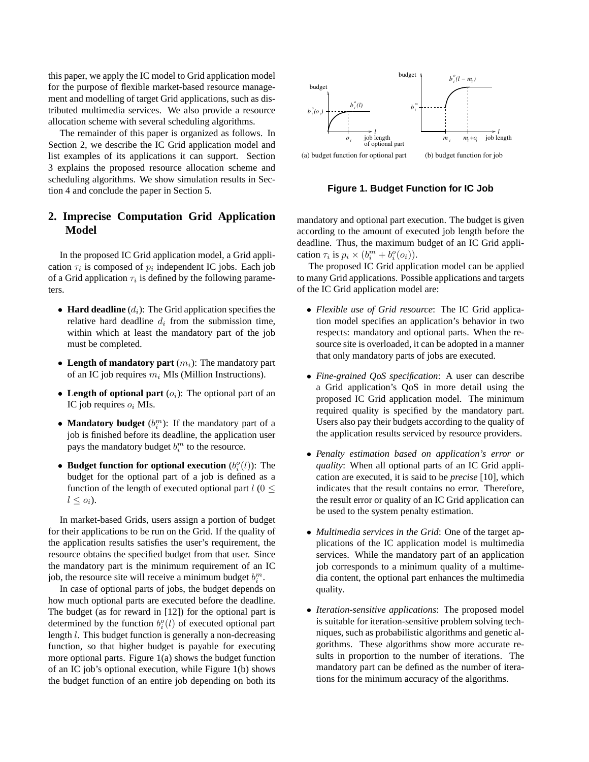this paper, we apply the IC model to Grid application model for the purpose of flexible market-based resource management and modelling of target Grid applications, such as distributed multimedia services. We also provide a resource allocation scheme with several scheduling algorithms.

The remainder of this paper is organized as follows. In Section 2, we describe the IC Grid application model and list examples of its applications it can support. Section 3 explains the proposed resource allocation scheme and scheduling algorithms. We show simulation results in Section 4 and conclude the paper in Section 5.

# **2. Imprecise Computation Grid Application Model**

In the proposed IC Grid application model, a Grid application  $\tau_i$  is composed of  $p_i$  independent IC jobs. Each job of a Grid application  $\tau_i$  is defined by the following parameters.

- **Hard deadline**  $(d_i)$ : The Grid application specifies the relative hard deadline  $d_i$  from the submission time, within which at least the mandatory part of the job must be completed.
- **Length of mandatory part**  $(m_i)$ : The mandatory part of an IC job requires  $m_i$  MIs (Million Instructions).
- **Length of optional part**  $(o_i)$ : The optional part of an IC job requires  $o_i$  MIs.
- **Mandatory budget**  $(b_i^m)$ : If the mandatory part of a job is finished before its deadline, the application user pays the mandatory budget  $b_i^m$  to the resource.
- **Budget function for optional execution**  $(b_i^o(l))$ : The budget for the optional part of a job is defined as a function of the length of executed optional part  $l$  (0  $\leq$  $l \leq o_i$ ).

In market-based Grids, users assign a portion of budget for their applications to be run on the Grid. If the quality of the application results satisfies the user's requirement, the resource obtains the specified budget from that user. Since the mandatory part is the minimum requirement of an IC job, the resource site will receive a minimum budget  $b_i^m$ .

In case of optional parts of jobs, the budget depends on how much optional parts are executed before the deadline. The budget (as for reward in [12]) for the optional part is determined by the function  $b_i^o(l)$  of executed optional part length l. This budget function is generally a non-decreasing function, so that higher budget is payable for executing more optional parts. Figure 1(a) shows the budget function of an IC job's optional execution, while Figure 1(b) shows the budget function of an entire job depending on both its



(a) budget function for optional part

(b) budget function for job

**Figure 1. Budget Function for IC Job**

mandatory and optional part execution. The budget is given according to the amount of executed job length before the deadline. Thus, the maximum budget of an IC Grid application  $\tau_i$  is  $p_i \times (b_i^m + b_i^o(o_i)).$ 

The proposed IC Grid application model can be applied to many Grid applications. Possible applications and targets of the IC Grid application model are:

- *Flexible use of Grid resource*: The IC Grid application model specifies an application's behavior in two respects: mandatory and optional parts. When the resource site is overloaded, it can be adopted in a manner that only mandatory parts of jobs are executed.
- *Fine-grained QoS specification*: A user can describe a Grid application's QoS in more detail using the proposed IC Grid application model. The minimum required quality is specified by the mandatory part. Users also pay their budgets according to the quality of the application results serviced by resource providers.
- *Penalty estimation based on application's error or quality*: When all optional parts of an IC Grid application are executed, it is said to be *precise* [10], which indicates that the result contains no error. Therefore, the result error or quality of an IC Grid application can be used to the system penalty estimation.
- *Multimedia services in the Grid*: One of the target applications of the IC application model is multimedia services. While the mandatory part of an application job corresponds to a minimum quality of a multimedia content, the optional part enhances the multimedia quality.
- *Iteration-sensitive applications*: The proposed model is suitable for iteration-sensitive problem solving techniques, such as probabilistic algorithms and genetic algorithms. These algorithms show more accurate results in proportion to the number of iterations. The mandatory part can be defined as the number of iterations for the minimum accuracy of the algorithms.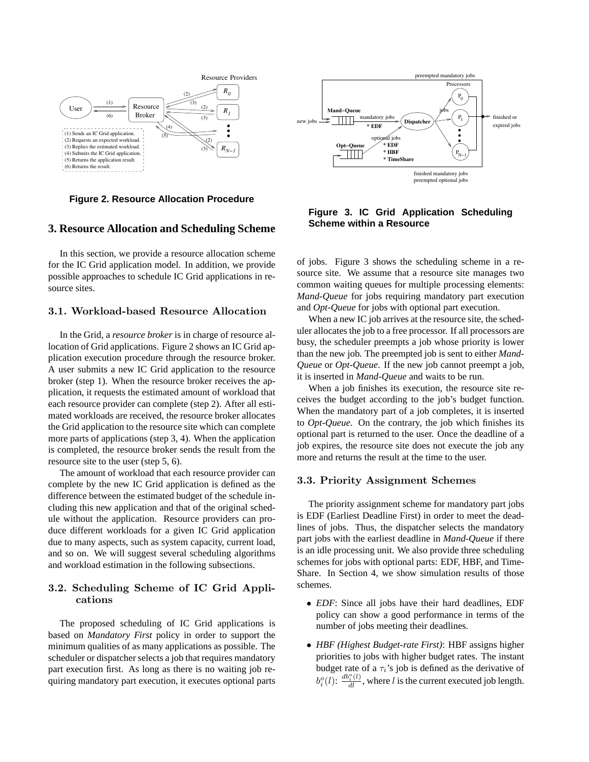

**Figure 2. Resource Allocation Procedure**

#### **3. Resource Allocation and Scheduling Scheme**

In this section, we provide a resource allocation scheme for the IC Grid application model. In addition, we provide possible approaches to schedule IC Grid applications in resource sites.

### 3.1. Workload-based Resource Allocation

In the Grid, a *resource broker* is in charge of resource allocation of Grid applications. Figure 2 shows an IC Grid application execution procedure through the resource broker. A user submits a new IC Grid application to the resource broker (step 1). When the resource broker receives the application, it requests the estimated amount of workload that each resource provider can complete (step 2). After all estimated workloads are received, the resource broker allocates the Grid application to the resource site which can complete more parts of applications (step 3, 4). When the application is completed, the resource broker sends the result from the resource site to the user (step 5, 6).

The amount of workload that each resource provider can complete by the new IC Grid application is defined as the difference between the estimated budget of the schedule including this new application and that of the original schedule without the application. Resource providers can produce different workloads for a given IC Grid application due to many aspects, such as system capacity, current load, and so on. We will suggest several scheduling algorithms and workload estimation in the following subsections.

## 3.2. Scheduling Scheme of IC Grid Applications

The proposed scheduling of IC Grid applications is based on *Mandatory First* policy in order to support the minimum qualities of as many applications as possible. The scheduler or dispatcher selects a job that requires mandatory part execution first. As long as there is no waiting job requiring mandatory part execution, it executes optional parts



**Figure 3. IC Grid Application Scheduling Scheme within a Resource**

of jobs. Figure 3 shows the scheduling scheme in a resource site. We assume that a resource site manages two common waiting queues for multiple processing elements: *Mand-Queue* for jobs requiring mandatory part execution and *Opt-Queue* for jobs with optional part execution.

When a new IC job arrives at the resource site, the scheduler allocates the job to a free processor. If all processors are busy, the scheduler preempts a job whose priority is lower than the new job. The preempted job is sent to either *Mand-Queue* or *Opt-Queue*. If the new job cannot preempt a job, it is inserted in *Mand-Queue* and waits to be run.

When a job finishes its execution, the resource site receives the budget according to the job's budget function. When the mandatory part of a job completes, it is inserted to *Opt-Queue*. On the contrary, the job which finishes its optional part is returned to the user. Once the deadline of a job expires, the resource site does not execute the job any more and returns the result at the time to the user.

#### 3.3. Priority Assignment Schemes

The priority assignment scheme for mandatory part jobs is EDF (Earliest Deadline First) in order to meet the deadlines of jobs. Thus, the dispatcher selects the mandatory part jobs with the earliest deadline in *Mand-Queue* if there is an idle processing unit. We also provide three scheduling schemes for jobs with optional parts: EDF, HBF, and Time-Share. In Section 4, we show simulation results of those schemes.

- *EDF*: Since all jobs have their hard deadlines, EDF policy can show a good performance in terms of the number of jobs meeting their deadlines.
- *HBF (Highest Budget-rate First)*: HBF assigns higher priorities to jobs with higher budget rates. The instant budget rate of a  $\tau_i$ 's job is defined as the derivative of  $b_i^o(l)$ :  $\frac{db_i^o(l)}{dl}$ , where l is the current executed job length.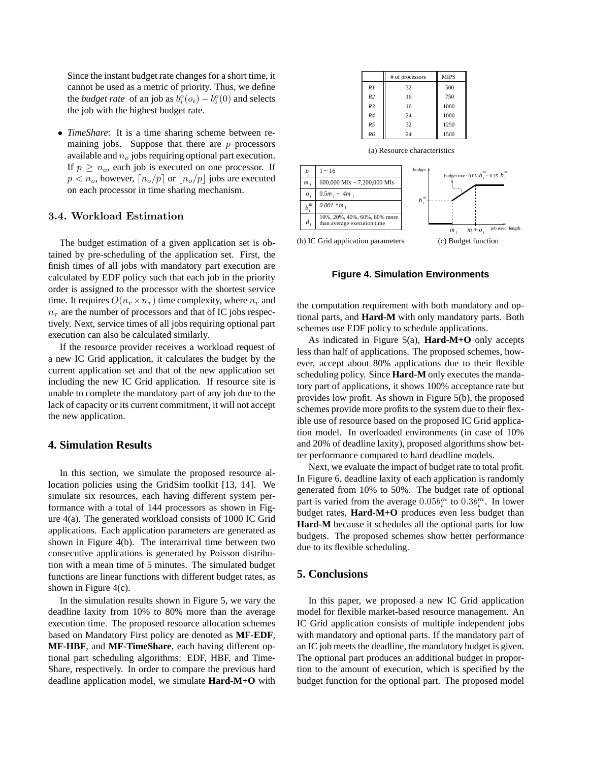Since the instant budget rate changes for a short time, it cannot be used as a metric of priority. Thus, we define the *budget rate* of an job as  $b_i^o(o_i) - b_i^o(0)$  and selects the job with the highest budget rate.

• *TimeShare*: It is a time sharing scheme between remaining jobs. Suppose that there are  $p$  processors available and  $n<sub>o</sub>$  jobs requiring optional part execution. If  $p \geq n_o$ , each job is executed on one processor. If  $p < n_o$ , however,  $\lceil n_o/p \rceil$  or  $\lfloor n_o/p \rfloor$  jobs are executed on each processor in time sharing mechanism.

# 3.4. Workload Estimation

The budget estimation of a given application set is obtained by pre-scheduling of the application set. First, the finish times of all jobs with mandatory part execution are calculated by EDF policy such that each job in the priority order is assigned to the processor with the shortest service time. It requires  $O(n_r \times n_\tau)$  time complexity, where  $n_r$  and  $n<sub>\tau</sub>$  are the number of processors and that of IC jobs respectively. Next, service times of all jobs requiring optional part execution can also be calculated similarly.

If the resource provider receives a workload request of a new IC Grid application, it calculates the budget by the current application set and that of the new application set including the new IC Grid application. If resource site is unable to complete the mandatory part of any job due to the lack of capacity or its current commitment, it will not accept the new application.

# **4. Simulation Results**

In this section, we simulate the proposed resource allocation policies using the GridSim toolkit [13, 14]. We simulate six resources, each having different system performance with a total of 144 processors as shown in Figure 4(a). The generated workload consists of 1000 IC Grid applications. Each application parameters are generated as shown in Figure 4(b). The interarrival time between two consecutive applications is generated by Poisson distribution with a mean time of 5 minutes. The simulated budget functions are linear functions with different budget rates, as shown in Figure 4(c).

In the simulation results shown in Figure 5, we vary the deadline laxity from 10% to 80% more than the average execution time. The proposed resource allocation schemes based on Mandatory First policy are denoted as **MF-EDF**, **MF-HBF**, and **MF-TimeShare**, each having different optional part scheduling algorithms: EDF, HBF, and Time-Share, respectively. In order to compare the previous hard deadline application model, we simulate **Hard-M+O** with



**Figure 4. Simulation Environments**

the computation requirement with both mandatory and optional parts, and **Hard-M** with only mandatory parts. Both schemes use EDF policy to schedule applications.

As indicated in Figure 5(a), **Hard-M+O** only accepts less than half of applications. The proposed schemes, however, accept about 80% applications due to their flexible scheduling policy. Since **Hard-M** only executes the mandatory part of applications, it shows 100% acceptance rate but provides low profit. As shown in Figure 5(b), the proposed schemes provide more profits to the system due to their flexible use of resource based on the proposed IC Grid application model. In overloaded environments (in case of 10% and 20% of deadline laxity), proposed algorithms show better performance compared to hard deadline models.

Next, we evaluate the impact of budget rate to total profit. In Figure 6, deadline laxity of each application is randomly generated from 10% to 50%. The budget rate of optional part is varied from the average  $0.05b_i^m$  to  $0.3b_i^m$ . In lower budget rates, **Hard-M+O** produces even less budget than **Hard-M** because it schedules all the optional parts for low budgets. The proposed schemes show better performance due to its flexible scheduling.

#### **5. Conclusions**

In this paper, we proposed a new IC Grid application model for flexible market-based resource management. An IC Grid application consists of multiple independent jobs with mandatory and optional parts. If the mandatory part of an IC job meets the deadline, the mandatory budget is given. The optional part produces an additional budget in proportion to the amount of execution, which is specified by the budget function for the optional part. The proposed model